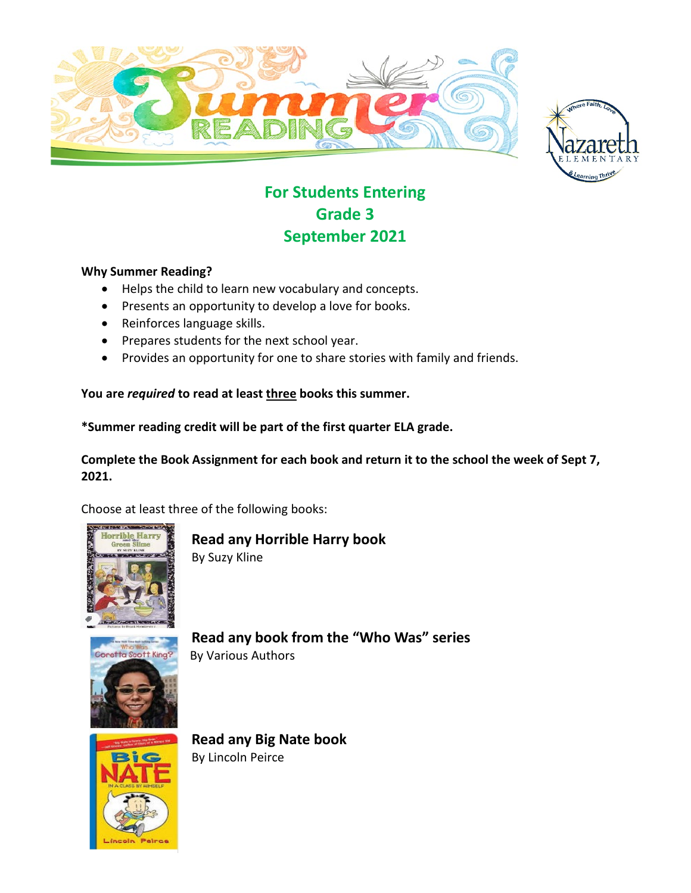



# **For Students Entering Grade 3 September 2021**

#### **Why Summer Reading?**

- Helps the child to learn new vocabulary and concepts.
- Presents an opportunity to develop a love for books.
- Reinforces language skills.
- Prepares students for the next school year.
- Provides an opportunity for one to share stories with family and friends.

#### **You are** *required* **to read at least three books this summer.**

**\*Summer reading credit will be part of the first quarter ELA grade.**

**Complete the Book Assignment for each book and return it to the school the week of Sept 7, 2021.**

Choose at least three of the following books:



**Read any Horrible Harry book**

By Suzy Kline



**Read any book from the "Who Was" series** By Various Authors



**Read any Big Nate book** By Lincoln Peirce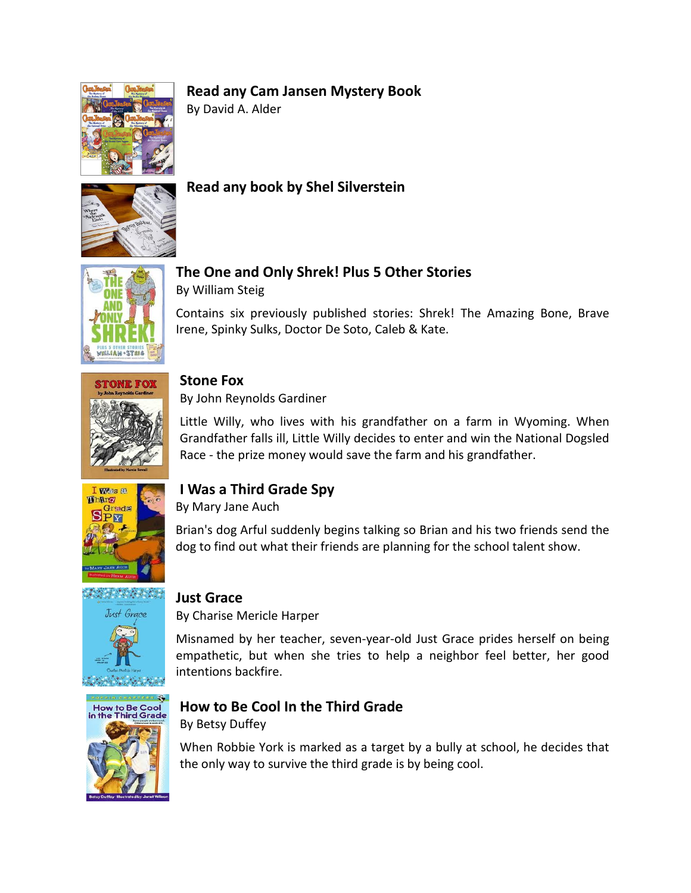## **Read any Cam Jansen Mystery Book**



By David A. Alder



## **Read any book by Shel Silverstein**



## **The One and Only Shrek! Plus 5 Other Stories**

By William Steig

Contains six previously published stories: Shrek! The Amazing Bone, Brave Irene, Spinky Sulks, Doctor De Soto, Caleb & Kate.



#### **Stone Fox**

By John Reynolds Gardiner

Little Willy, who lives with his grandfather on a farm in Wyoming. When Grandfather falls ill, Little Willy decides to enter and win the National Dogsled Race - the prize money would save the farm and his grandfather.



## **I Was a Third Grade Spy**

By Mary Jane Auch

Brian's dog Arful suddenly begins talking so Brian and his two friends send the dog to find out what their friends are planning for the school talent show.



#### **Just Grace**

By Charise Mericle Harper

Misnamed by her teacher, seven-year-old Just Grace prides herself on being empathetic, but when she tries to help a neighbor feel better, her good intentions backfire.



## **How to Be Cool In the Third Grade**

By Betsy Duffey

When Robbie York is marked as a target by a bully at school, he decides that the only way to survive the third grade is by being cool.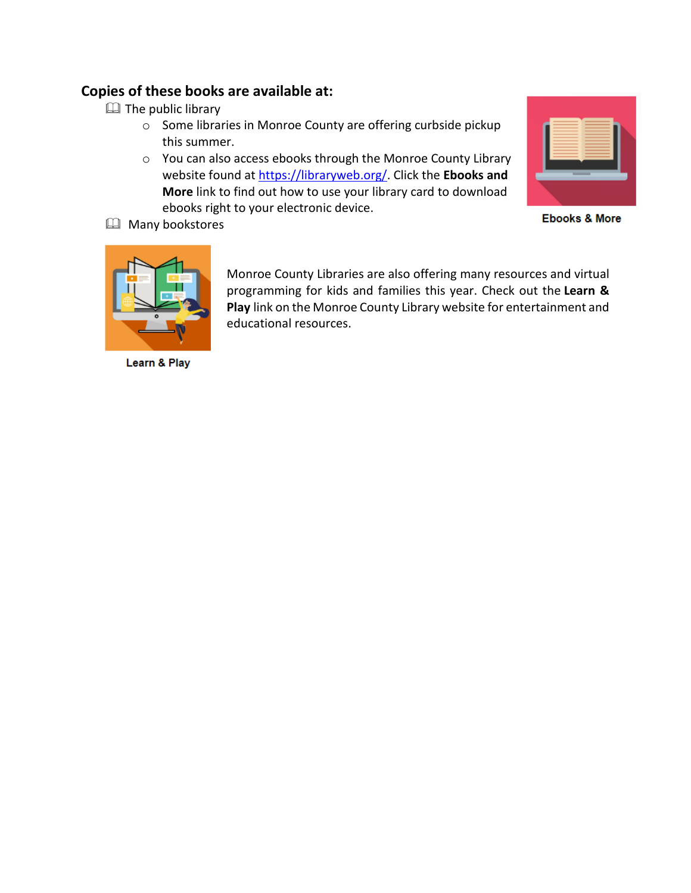#### **Copies of these books are available at:**

- **EQ** The public library
	- o Some libraries in Monroe County are offering curbside pickup this summer.
	- o You can also access ebooks through the Monroe County Library website found at [https://libraryweb.org/.](https://libraryweb.org/) Click the **Ebooks and More** link to find out how to use your library card to download ebooks right to your electronic device.

**Ebooks & More** 



**EQ** Many bookstores

Learn & Play

Monroe County Libraries are also offering many resources and virtual programming for kids and families this year. Check out the **Learn & Play** link on the Monroe County Library website for entertainment and educational resources.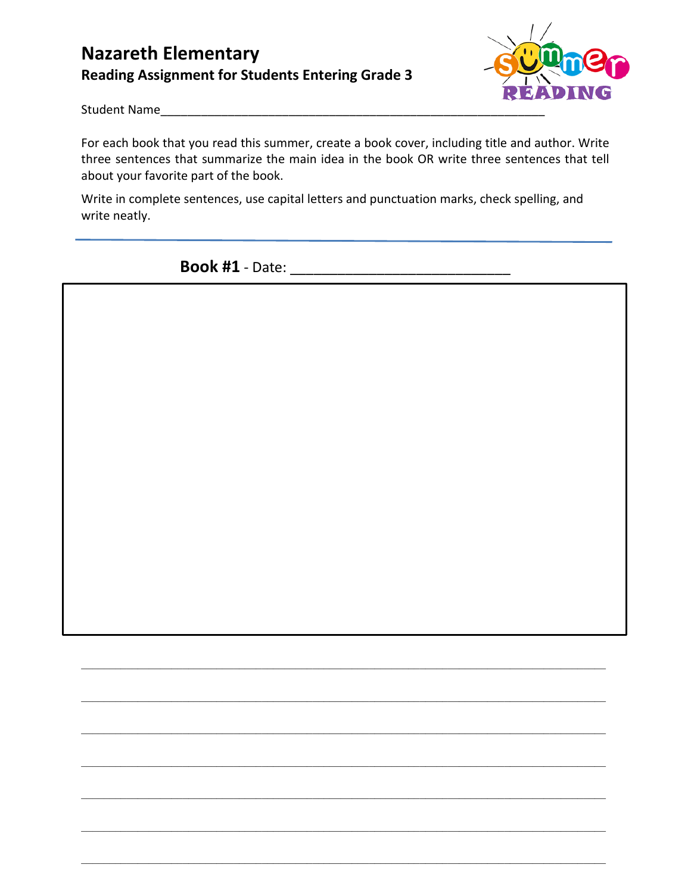## **Nazareth Elementary Reading Assignment for Students Entering Grade 3**



Student Name

For each book that you read this summer, create a book cover, including title and author. Write three sentences that summarize the main idea in the book OR write three sentences that tell about your favorite part of the book.

Write in complete sentences, use capital letters and punctuation marks, check spelling, and write neatly.

 $\mathcal{L}_\mathcal{L} = \{ \mathcal{L}_\mathcal{L} = \{ \mathcal{L}_\mathcal{L} = \{ \mathcal{L}_\mathcal{L} = \{ \mathcal{L}_\mathcal{L} = \{ \mathcal{L}_\mathcal{L} = \{ \mathcal{L}_\mathcal{L} = \{ \mathcal{L}_\mathcal{L} = \{ \mathcal{L}_\mathcal{L} = \{ \mathcal{L}_\mathcal{L} = \{ \mathcal{L}_\mathcal{L} = \{ \mathcal{L}_\mathcal{L} = \{ \mathcal{L}_\mathcal{L} = \{ \mathcal{L}_\mathcal{L} = \{ \mathcal{L}_\mathcal{$ 

 $\mathcal{L}_\mathcal{L} = \{ \mathcal{L}_\mathcal{L} = \{ \mathcal{L}_\mathcal{L} = \{ \mathcal{L}_\mathcal{L} = \{ \mathcal{L}_\mathcal{L} = \{ \mathcal{L}_\mathcal{L} = \{ \mathcal{L}_\mathcal{L} = \{ \mathcal{L}_\mathcal{L} = \{ \mathcal{L}_\mathcal{L} = \{ \mathcal{L}_\mathcal{L} = \{ \mathcal{L}_\mathcal{L} = \{ \mathcal{L}_\mathcal{L} = \{ \mathcal{L}_\mathcal{L} = \{ \mathcal{L}_\mathcal{L} = \{ \mathcal{L}_\mathcal{$ 

 $\mathcal{L}_\mathcal{L} = \mathcal{L}_\mathcal{L} = \mathcal{L}_\mathcal{L} = \mathcal{L}_\mathcal{L} = \mathcal{L}_\mathcal{L} = \mathcal{L}_\mathcal{L} = \mathcal{L}_\mathcal{L} = \mathcal{L}_\mathcal{L} = \mathcal{L}_\mathcal{L} = \mathcal{L}_\mathcal{L} = \mathcal{L}_\mathcal{L} = \mathcal{L}_\mathcal{L} = \mathcal{L}_\mathcal{L} = \mathcal{L}_\mathcal{L} = \mathcal{L}_\mathcal{L} = \mathcal{L}_\mathcal{L} = \mathcal{L}_\mathcal{L}$ 

 $\mathcal{L}_\mathcal{L} = \{ \mathcal{L}_\mathcal{L} = \{ \mathcal{L}_\mathcal{L} = \{ \mathcal{L}_\mathcal{L} = \{ \mathcal{L}_\mathcal{L} = \{ \mathcal{L}_\mathcal{L} = \{ \mathcal{L}_\mathcal{L} = \{ \mathcal{L}_\mathcal{L} = \{ \mathcal{L}_\mathcal{L} = \{ \mathcal{L}_\mathcal{L} = \{ \mathcal{L}_\mathcal{L} = \{ \mathcal{L}_\mathcal{L} = \{ \mathcal{L}_\mathcal{L} = \{ \mathcal{L}_\mathcal{L} = \{ \mathcal{L}_\mathcal{$ 

 $\mathcal{L}_\mathcal{L} = \mathcal{L}_\mathcal{L} = \mathcal{L}_\mathcal{L} = \mathcal{L}_\mathcal{L} = \mathcal{L}_\mathcal{L} = \mathcal{L}_\mathcal{L} = \mathcal{L}_\mathcal{L} = \mathcal{L}_\mathcal{L} = \mathcal{L}_\mathcal{L} = \mathcal{L}_\mathcal{L} = \mathcal{L}_\mathcal{L} = \mathcal{L}_\mathcal{L} = \mathcal{L}_\mathcal{L} = \mathcal{L}_\mathcal{L} = \mathcal{L}_\mathcal{L} = \mathcal{L}_\mathcal{L} = \mathcal{L}_\mathcal{L}$ 

 $\mathcal{L}_\mathcal{L} = \mathcal{L}_\mathcal{L} = \mathcal{L}_\mathcal{L} = \mathcal{L}_\mathcal{L} = \mathcal{L}_\mathcal{L} = \mathcal{L}_\mathcal{L} = \mathcal{L}_\mathcal{L} = \mathcal{L}_\mathcal{L} = \mathcal{L}_\mathcal{L} = \mathcal{L}_\mathcal{L} = \mathcal{L}_\mathcal{L} = \mathcal{L}_\mathcal{L} = \mathcal{L}_\mathcal{L} = \mathcal{L}_\mathcal{L} = \mathcal{L}_\mathcal{L} = \mathcal{L}_\mathcal{L} = \mathcal{L}_\mathcal{L}$ 

 $\mathcal{L}_\mathcal{L} = \{ \mathcal{L}_\mathcal{L} = \{ \mathcal{L}_\mathcal{L} = \{ \mathcal{L}_\mathcal{L} = \{ \mathcal{L}_\mathcal{L} = \{ \mathcal{L}_\mathcal{L} = \{ \mathcal{L}_\mathcal{L} = \{ \mathcal{L}_\mathcal{L} = \{ \mathcal{L}_\mathcal{L} = \{ \mathcal{L}_\mathcal{L} = \{ \mathcal{L}_\mathcal{L} = \{ \mathcal{L}_\mathcal{L} = \{ \mathcal{L}_\mathcal{L} = \{ \mathcal{L}_\mathcal{L} = \{ \mathcal{L}_\mathcal{$ 

**Book #1** - Date: \_\_\_\_\_\_\_\_\_\_\_\_\_\_\_\_\_\_\_\_\_\_\_\_\_\_\_\_